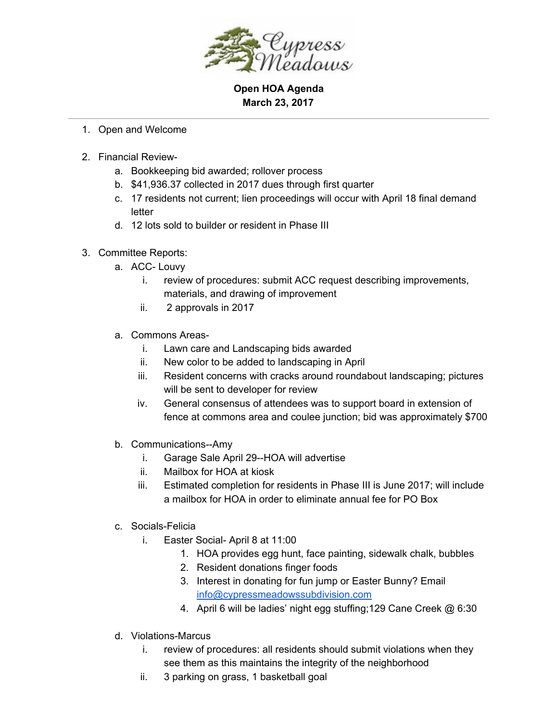

**Open HOA Agenda March 23, 2017**

- 1. Open and Welcome
- 2. Financial Review
	- a. Bookkeeping bid awarded; rollover process
	- b. \$41,936.37 collected in 2017 dues through first quarter
	- c. 17 residents not current; lien proceedings will occur with April 18 final demand letter
	- d. 12 lots sold to builder or resident in Phase III
- 3. Committee Reports:
	- a. ACC- Louvy
		- i. review of procedures: submit ACC request describing improvements, materials, and drawing of improvement
		- ii. 2 approvals in 2017
	- a. Commons Areas
		- i. Lawn care and Landscaping bids awarded
		- ii. New color to be added to landscaping in April
		- iii. Resident concerns with cracks around roundabout landscaping; pictures will be sent to developer for review
		- iv. General consensus of attendees was to support board in extension of fence at commons area and coulee junction; bid was approximately \$700
	- b. Communications--Amy
		- i. Garage Sale April 29--HOA will advertise
		- ii. Mailbox for HOA at kiosk
		- iii. Estimated completion for residents in Phase III is June 2017; will include a mailbox for HOA in order to eliminate annual fee for PO Box
	- c. Socials-Felicia
		- i. Easter Social- April 8 at 11:00
			- 1. HOA provides egg hunt, face painting, sidewalk chalk, bubbles
			- 2. Resident donations finger foods
			- 3. Interest in donating for fun jump or Easter Bunny? Email [info@cypressmeadowssubdivision.com](mailto:info@cypressmeadowssubdivision.com)
			- 4. April 6 will be ladies' night egg stuffing;129 Cane Creek @ 6:30
	- d. Violations-Marcus
		- i. review of procedures: all residents should submit violations when they see them as this maintains the integrity of the neighborhood
		- ii. 3 parking on grass, 1 basketball goal